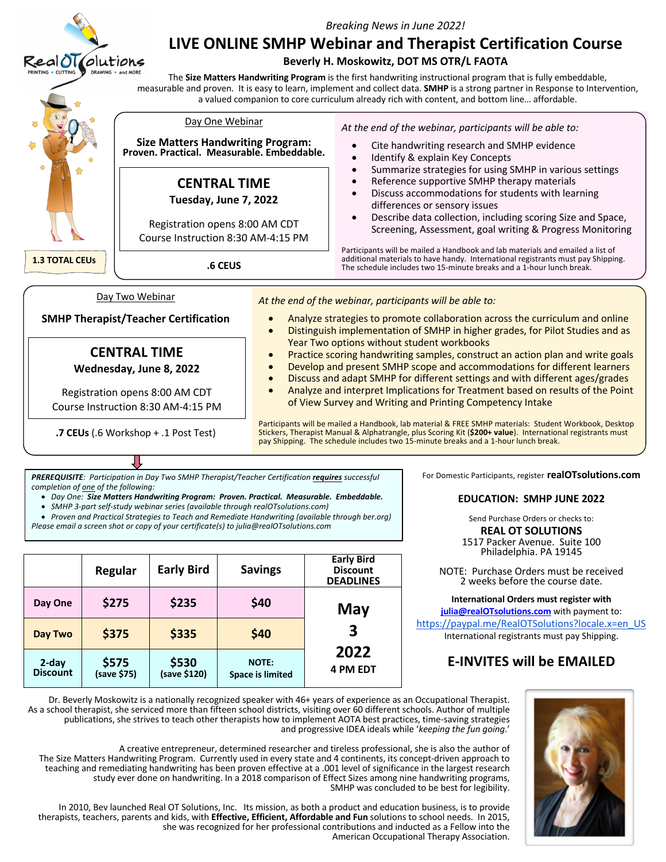

**.7 CEUs** (.6 Workshop + .1 Post Test)

Participants will be mailed a Handbook, lab material & FREE SMHP materials: Student Workbook, Desktop Stickers, Therapist Manual & Alphatrangle, plus Scoring Kit (**\$200+ value**). International registrants must pay Shipping. The schedule includes two 15-minute breaks and a 1-hour lunch break.

*PREREQUISITE: Participation in Day Two SMHP Therapist/Teacher Certification requires successful completion of one of the following:*

- *Day One: Size Matters Handwriting Program: Proven. Practical. Measurable. Embeddable.*
- *SMHP 3-part self-study webinar series (available through realOTsolutions.com)*
- *Proven and Practical Strategies to Teach and Remediate Handwriting (available through ber.org)*

*Please email a screen shot or copy of your certificate(s) to julia@realOTsolutions.com*

|                          | Regular              | <b>Early Bird</b>     | <b>Savings</b>                          | <b>Early Bird</b><br><b>Discount</b><br><b>DEADLINES</b> |
|--------------------------|----------------------|-----------------------|-----------------------------------------|----------------------------------------------------------|
| Day One                  | \$275                | \$235                 | \$40                                    | May                                                      |
| Day Two                  | \$375                | \$335                 | \$40                                    | 3                                                        |
| 2-day<br><b>Discount</b> | \$575<br>(save \$75) | \$530<br>(save \$120) | <b>NOTE:</b><br><b>Space is limited</b> | 2022<br><b>4 PM EDT</b>                                  |

For Domestic Participants, register **realOTsolutions.com**

### **EDUCATION: SMHP JUNE 2022**

Send Purchase Orders or checks to: **REAL OT SOLUTIONS**

1517 Packer Avenue. Suite 100 Philadelphia. PA 19145

NOTE: Purchase Orders must be received 2 weeks before the course date.

**International Orders must register with julia@realOTsolutions.com** with payment to: https://paypal.me/RealOTSolutions?locale.x=en\_US International registrants must pay Shipping.

# **E-INVITES will be EMAILED**



Dr. Beverly Moskowitz is a nationally recognized speaker with 46+ years of experience as an Occupational Therapist. As a school therapist, she serviced more than fifteen school districts, visiting over 60 different schools. Author of multiple publications, she strives to teach other therapists how to implement AOTA best practices, time-saving strategies and progressive IDEA ideals while '*keeping the fun going*.'

A creative entrepreneur, determined researcher and tireless professional, she is also the author of The Size Matters Handwriting Program. Currently used in every state and 4 continents, its concept-driven approach to teaching and remediating handwriting has been proven effective at a .001 level of significance in the largest research study ever done on handwriting. In a 2018 comparison of Effect Sizes among nine handwriting programs, SMHP was concluded to be best for legibility.

In 2010, Bev launched Real OT Solutions, Inc. Its mission, as both a product and education business, is to provide therapists, teachers, parents and kids, with **Effective, Efficient, Affordable and Fun** solutions to school needs. In 2015, she was recognized for her professional contributions and inducted as a Fellow into the American Occupational Therapy Association.